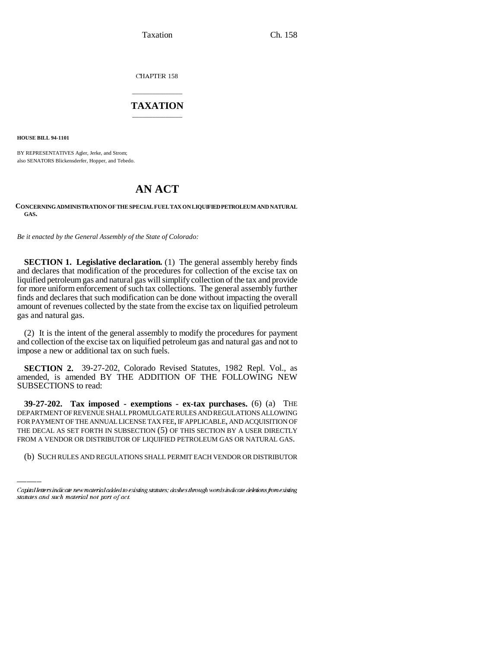Taxation Ch. 158

CHAPTER 158

## \_\_\_\_\_\_\_\_\_\_\_\_\_\_\_ **TAXATION** \_\_\_\_\_\_\_\_\_\_\_\_\_\_\_

**HOUSE BILL 94-1101**

BY REPRESENTATIVES Agler, Jerke, and Strom; also SENATORS Blickensderfer, Hopper, and Tebedo.

# **AN ACT**

#### **CONCERNING ADMINISTRATION OF THE SPECIAL FUEL TAX ON LIQUIFIED PETROLEUM AND NATURAL GAS.**

*Be it enacted by the General Assembly of the State of Colorado:*

**SECTION 1. Legislative declaration.** (1) The general assembly hereby finds and declares that modification of the procedures for collection of the excise tax on liquified petroleum gas and natural gas will simplify collection of the tax and provide for more uniform enforcement of such tax collections. The general assembly further finds and declares that such modification can be done without impacting the overall amount of revenues collected by the state from the excise tax on liquified petroleum gas and natural gas.

(2) It is the intent of the general assembly to modify the procedures for payment and collection of the excise tax on liquified petroleum gas and natural gas and not to impose a new or additional tax on such fuels.

**SECTION 2.** 39-27-202, Colorado Revised Statutes, 1982 Repl. Vol., as amended, is amended BY THE ADDITION OF THE FOLLOWING NEW SUBSECTIONS to read:

FOR PAYMENT OF THE ANNUAL LICENSE TAX FEE, IF APPLICABLE, AND ACQUISITION OF **39-27-202. Tax imposed - exemptions - ex-tax purchases.** (6) (a) THE DEPARTMENT OF REVENUE SHALL PROMULGATE RULES AND REGULATIONS ALLOWING THE DECAL AS SET FORTH IN SUBSECTION (5) OF THIS SECTION BY A USER DIRECTLY FROM A VENDOR OR DISTRIBUTOR OF LIQUIFIED PETROLEUM GAS OR NATURAL GAS.

(b) SUCH RULES AND REGULATIONS SHALL PERMIT EACH VENDOR OR DISTRIBUTOR

Capital letters indicate new material added to existing statutes; dashes through words indicate deletions from existing statutes and such material not part of act.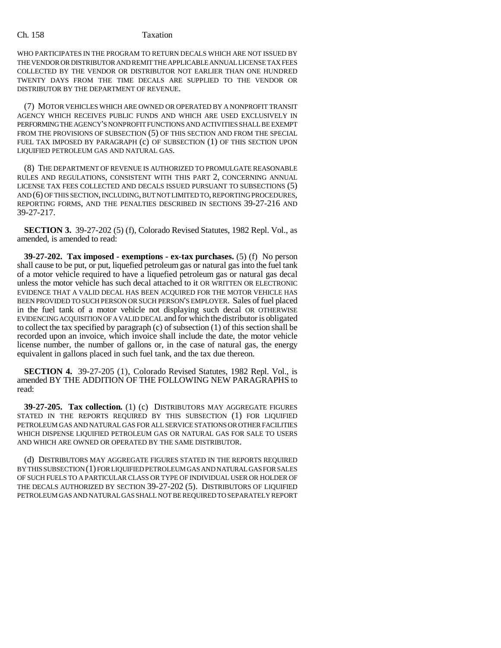#### Ch. 158 Taxation

WHO PARTICIPATES IN THE PROGRAM TO RETURN DECALS WHICH ARE NOT ISSUED BY THE VENDOR OR DISTRIBUTOR AND REMIT THE APPLICABLE ANNUAL LICENSE TAX FEES COLLECTED BY THE VENDOR OR DISTRIBUTOR NOT EARLIER THAN ONE HUNDRED TWENTY DAYS FROM THE TIME DECALS ARE SUPPLIED TO THE VENDOR OR DISTRIBUTOR BY THE DEPARTMENT OF REVENUE.

(7) MOTOR VEHICLES WHICH ARE OWNED OR OPERATED BY A NONPROFIT TRANSIT AGENCY WHICH RECEIVES PUBLIC FUNDS AND WHICH ARE USED EXCLUSIVELY IN PERFORMING THE AGENCY'S NONPROFIT FUNCTIONS AND ACTIVITIES SHALL BE EXEMPT FROM THE PROVISIONS OF SUBSECTION (5) OF THIS SECTION AND FROM THE SPECIAL FUEL TAX IMPOSED BY PARAGRAPH (c) OF SUBSECTION (1) OF THIS SECTION UPON LIQUIFIED PETROLEUM GAS AND NATURAL GAS.

(8) THE DEPARTMENT OF REVENUE IS AUTHORIZED TO PROMULGATE REASONABLE RULES AND REGULATIONS, CONSISTENT WITH THIS PART 2, CONCERNING ANNUAL LICENSE TAX FEES COLLECTED AND DECALS ISSUED PURSUANT TO SUBSECTIONS (5) AND (6) OF THIS SECTION, INCLUDING, BUT NOT LIMITED TO, REPORTING PROCEDURES, REPORTING FORMS, AND THE PENALTIES DESCRIBED IN SECTIONS 39-27-216 AND 39-27-217.

**SECTION 3.** 39-27-202 (5) (f), Colorado Revised Statutes, 1982 Repl. Vol., as amended, is amended to read:

**39-27-202. Tax imposed - exemptions - ex-tax purchases.** (5) (f) No person shall cause to be put, or put, liquefied petroleum gas or natural gas into the fuel tank of a motor vehicle required to have a liquefied petroleum gas or natural gas decal unless the motor vehicle has such decal attached to it OR WRITTEN OR ELECTRONIC EVIDENCE THAT A VALID DECAL HAS BEEN ACQUIRED FOR THE MOTOR VEHICLE HAS BEEN PROVIDED TO SUCH PERSON OR SUCH PERSON'S EMPLOYER. Sales of fuel placed in the fuel tank of a motor vehicle not displaying such decal OR OTHERWISE EVIDENCING ACQUISITION OF A VALID DECAL and for which the distributor is obligated to collect the tax specified by paragraph (c) of subsection (1) of this section shall be recorded upon an invoice, which invoice shall include the date, the motor vehicle license number, the number of gallons or, in the case of natural gas, the energy equivalent in gallons placed in such fuel tank, and the tax due thereon.

**SECTION 4.** 39-27-205 (1), Colorado Revised Statutes, 1982 Repl. Vol., is amended BY THE ADDITION OF THE FOLLOWING NEW PARAGRAPHS to read:

**39-27-205. Tax collection.** (1) (c) DISTRIBUTORS MAY AGGREGATE FIGURES STATED IN THE REPORTS REQUIRED BY THIS SUBSECTION (1) FOR LIQUIFIED PETROLEUM GAS AND NATURAL GAS FOR ALL SERVICE STATIONS OR OTHER FACILITIES WHICH DISPENSE LIQUIFIED PETROLEUM GAS OR NATURAL GAS FOR SALE TO USERS AND WHICH ARE OWNED OR OPERATED BY THE SAME DISTRIBUTOR.

(d) DISTRIBUTORS MAY AGGREGATE FIGURES STATED IN THE REPORTS REQUIRED BY THIS SUBSECTION (1) FOR LIQUIFIED PETROLEUM GAS AND NATURAL GAS FOR SALES OF SUCH FUELS TO A PARTICULAR CLASS OR TYPE OF INDIVIDUAL USER OR HOLDER OF THE DECALS AUTHORIZED BY SECTION 39-27-202 (5). DISTRIBUTORS OF LIQUIFIED PETROLEUM GAS AND NATURAL GAS SHALL NOT BE REQUIRED TO SEPARATELY REPORT